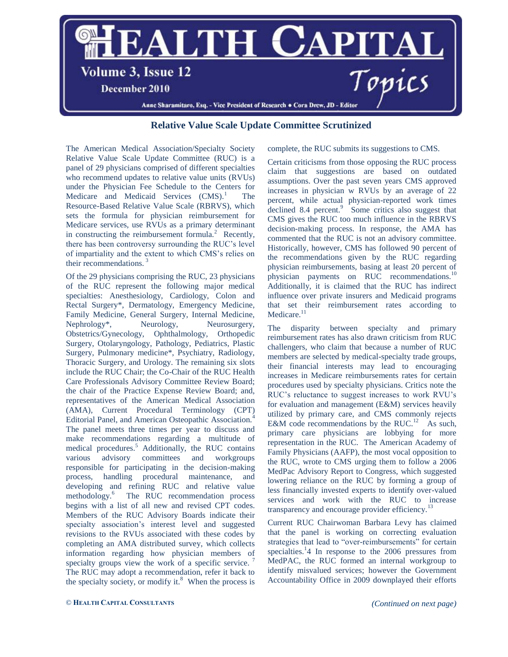

## **Relative Value Scale Update Committee Scrutinized**

The American Medical Association/Specialty Society Relative Value Scale Update Committee (RUC) is a panel of 29 physicians comprised of different specialties who recommend updates to relative value units (RVUs) under the Physician Fee Schedule to the Centers for Medicare and Medicaid Services (CMS).<sup>1</sup> The Resource-Based Relative Value Scale (RBRVS), which sets the formula for physician reimbursement for Medicare services, use RVUs as a primary determinant in constructing the reimbursement formula.<sup>2</sup> Recently, there has been controversy surrounding the RUC's level of impartiality and the extent to which CMS's relies on their recommendations. $\frac{3}{2}$ 

Of the 29 physicians comprising the RUC, 23 physicians of the RUC represent the following major medical specialties: Anesthesiology, Cardiology, Colon and Rectal Surgery\*, Dermatology, Emergency Medicine, Family Medicine, General Surgery, Internal Medicine, Nephrology<sup>\*</sup>, Neurology, Neurosurgery, Obstetrics/Gynecology, Ophthalmology, Orthopedic Surgery, Otolaryngology, Pathology, Pediatrics, Plastic Surgery, Pulmonary medicine\*, Psychiatry, Radiology, Thoracic Surgery, and Urology. The remaining six slots include the RUC Chair; the Co-Chair of the RUC Health Care Professionals Advisory Committee Review Board; the chair of the Practice Expense Review Board; and, representatives of the American Medical Association (AMA), Current Procedural Terminology (CPT) Editorial Panel, and American Osteopathic Association.<sup>4</sup> The panel meets three times per year to discuss and make recommendations regarding a multitude of medical procedures.<sup>5</sup> Additionally, the RUC contains various advisory committees and workgroups responsible for participating in the decision-making process, handling procedural maintenance, and developing and refining RUC and relative value methodology.<sup>6</sup> The RUC recommendation process begins with a list of all new and revised CPT codes. Members of the RUC Advisory Boards indicate their specialty association's interest level and suggested revisions to the RVUs associated with these codes by completing an AMA distributed survey, which collects information regarding how physician members of specialty groups view the work of a specific service.  $\frac{7}{2}$ The RUC may adopt a recommendation, refer it back to the specialty society, or modify it. $8$  When the process is complete, the RUC submits its suggestions to CMS.

Certain criticisms from those opposing the RUC process claim that suggestions are based on outdated assumptions. Over the past seven years CMS approved increases in physician w RVUs by an average of 22 percent, while actual physician-reported work times  $\alpha$  declined 8.4 percent. $\alpha$  Some critics also suggest that CMS gives the RUC too much influence in the RBRVS decision-making process. In response, the AMA has commented that the RUC is not an advisory committee. Historically, however, CMS has followed 90 percent of the recommendations given by the RUC regarding physician reimbursements, basing at least 20 percent of physician payments on RUC recommendations.<sup>10</sup> Additionally, it is claimed that the RUC has indirect influence over private insurers and Medicaid programs that set their reimbursement rates according to Medicare.<sup>11</sup>

The disparity between specialty and primary reimbursement rates has also drawn criticism from RUC challengers, who claim that because a number of RUC members are selected by medical-specialty trade groups, their financial interests may lead to encouraging increases in Medicare reimbursements rates for certain procedures used by specialty physicians. Critics note the RUC's reluctance to suggest increases to work RVU's for evaluation and management (E&M) services heavily utilized by primary care, and CMS commonly rejects E&M code recommendations by the  $RUC<sup>12</sup>$  As such, primary care physicians are lobbying for more representation in the RUC. The American Academy of Family Physicians (AAFP), the most vocal opposition to the RUC, wrote to CMS urging them to follow a 2006 MedPac Advisory Report to Congress, which suggested lowering reliance on the RUC by forming a group of less financially invested experts to identify over-valued services and work with the RUC to increase transparency and encourage provider efficiency.<sup>13</sup>

Current RUC Chairwoman Barbara Levy has claimed that the panel is working on correcting evaluation strategies that lead to "over-reimbursements" for certain specialties.<sup>1</sup>4 In response to the 2006 pressures from MedPAC, the RUC formed an internal workgroup to identify misvalued services; however the Government Accountability Office in 2009 downplayed their efforts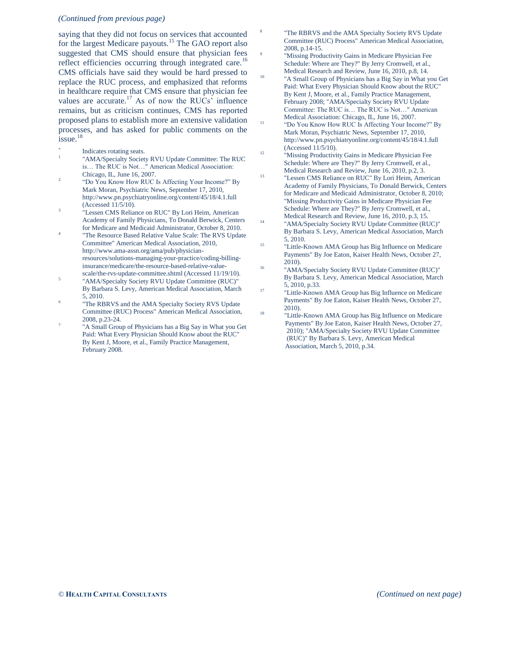## *(Continued from previous page)*

saying that they did not focus on services that accounted for the largest Medicare payouts.<sup>15</sup> The GAO report also suggested that CMS should ensure that physician fees reflect efficiencies occurring through integrated care.<sup>16</sup> CMS officials have said they would be hard pressed to replace the RUC process, and emphasized that reforms in healthcare require that CMS ensure that physician fee values are accurate.<sup>17</sup> As of now the RUCs' influence remains, but as criticism continues, CMS has reported proposed plans to establish more an extensive validation processes, and has asked for public comments on the issue.<sup>18</sup>

- \* Indicates rotating seats.
- 1 "AMA/Specialty Society RVU Update Committee: The RUC is… The RUC is Not…" American Medical Association: Chicago, IL, June 16, 2007.
- 2 "Do You Know How RUC Is Affecting Your Income?" By Mark Moran, Psychiatric News, September 17, 2010, http://www.pn.psychiatryonline.org/content/45/18/4.1.full (Accessed 11/5/10).
- 3 "Lessen CMS Reliance on RUC" By Lori Heim, American Academy of Family Physicians, To Donald Berwick, Centers for Medicare and Medicaid Administrator, October 8, 2010.
- 4 "The Resource Based Relative Value Scale: The RVS Update Committee" American Medical Association, 2010, http://www.ama-assn.org/ama/pub/physicianresources/solutions-managing-your-practice/coding-billinginsurance/medicare/the-resource-based-relative-value-
- scale/the-rvs-update-committee.shtml (Accessed 11/19/10). 5 "AMA/Specialty Society RVU Update Committee (RUC)" By Barbara S. Levy, American Medical Association, March 5, 2010.
- 6 "The RBRVS and the AMA Specialty Society RVS Update Committee (RUC) Process" American Medical Association, 2008, p.23-24.
- 7 "A Small Group of Physicians has a Big Say in What you Get Paid: What Every Physician Should Know about the RUC" By Kent J, Moore, et al., Family Practice Management, February 2008.

"The RBRVS and the AMA Specialty Society RVS Update Committee (RUC) Process" American Medical Association, 2008, p.14-15.

8

 $\overline{9}$ 

10

11

- "Missing Productivity Gains in Medicare Physician Fee Schedule: Where are They?" By Jerry Cromwell, et al., Medical Research and Review, June 16, 2010, p.8, 14.
- "A Small Group of Physicians has a Big Say in What you Get Paid: What Every Physician Should Know about the RUC" By Kent J, Moore, et al., Family Practice Management, February 2008; "AMA/Specialty Society RVU Update Committee: The RUC is… The RUC is Not…" American Medical Association: Chicago, IL, June 16, 2007.
- "Do You Know How RUC Is Affecting Your Income?" By Mark Moran, Psychiatric News, September 17, 2010, http://www.pn.psychiatryonline.org/content/45/18/4.1.full (Accessed 11/5/10).
- 12 "Missing Productivity Gains in Medicare Physician Fee Schedule: Where are They?" By Jerry Cromwell, et al., Medical Research and Review, June 16, 2010, p.2, 3.
- 13 "Lessen CMS Reliance on RUC" By Lori Heim, American Academy of Family Physicians, To Donald Berwick, Centers for Medicare and Medicaid Administrator, October 8, 2010; "Missing Productivity Gains in Medicare Physician Fee Schedule: Where are They?" By Jerry Cromwell, et al., Medical Research and Review, June 16, 2010, p.3, 15. 14
	- "AMA/Specialty Society RVU Update Committee (RUC)" By Barbara S. Levy, American Medical Association, March 5, 2010.
- 15 "Little-Known AMA Group has Big Influence on Medicare Payments" By Joe Eaton, Kaiser Health News, October 27, 2010).
- 16 "AMA/Specialty Society RVU Update Committee (RUC)" By Barbara S. Levy, American Medical Association, March 5, 2010, p.33. 17
- "Little-Known AMA Group has Big Influence on Medicare Payments" By Joe Eaton, Kaiser Health News, October 27, 2010). 18
	- "Little-Known AMA Group has Big Influence on Medicare Payments" By Joe Eaton, Kaiser Health News, October 27, 2010); "AMA/Specialty Society RVU Update Committee (RUC)" By Barbara S. Levy, American Medical Association, March 5, 2010, p.34.